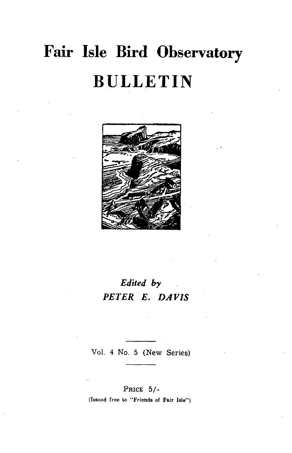# **Fair Isle Bird Observatory BULLETIN**



# *Edited by PETER E. DAVIS*

Vol. 4 No. 5 (New Series)

#### PRICE 5/-

(Issued free to "Friends of Fair Isle")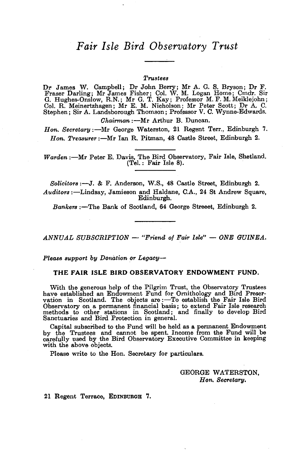# *Fair Isle Bird Observatory Trust*

#### *Trustees*

Dr James W. Campbell; Dr John Berry; Mr A. G. S. Bryson; Dr F. Fraser Darling; Mr James Fisher; Col. W. M. Logan Home; Cmdr. Sir G. Hughes-Onslow, R.N.; Mr G. T. Kay; Professor M. F. M. Meiklejohn; Col. R. Meinertzhagen; Mr E. M. Nicholson; Mr Peter Scott; Dr A. C. Stephen; Sir A. Landsborough Thomson; Professor V. C. Wynne-Edwards. *Chairman* :- Mr Arthur B. Duncan.

*Hon. Secretary:*---Mr George Waterston, 21 Regent Terr., Edinburgh 7. *Hon. Treasurer* :-Mr Ian R. Pitman, 48 Castle Street, Edinburgh 2.

*Warden* :- Mr Peter E. Davis, The Bird Observatory, Fair Isle, Shetland. (Tel.: Fair Isle 8).

*Solicitors* :-J. & F. Anderson, W.S., 48 Castle Street, Edinburgh 2. *Auditors* :-Lindsay, Jamieson and Haldane, C.A., 24 St Andrew Square, Edinburgh.

*Bankers* :-The Bank of Scotland, 64 George Streeet, Edinburgh 2.

*ANNUAL SUBSORIPTION* - *"Friend of Fair Isle"* - *ONE GUINEA.* 

*Please support by Donation or Legacy-*

#### THE FAIR ISLE BIRD OBSERVATORY ENDOWMENT FUND.

'With the generous help of the Pilgrim Trust, the Observatory Trustees have established an Endowment Fund for Ornithology and Bird Preser-<br>vation in Scotland. The objects are :—To establish the Fair Isle Bird Observatory on a permanent financial basis; to extend Fair Isle research methods to other stations in Scotland; and finally to develop Bird Sanctuaries and Bird Protection in general.

Capital subscnbed to the Fund will be held as a permanent Endowment by the Trustees and cannot be spent. Income from the Fund will be carefully used by the Bird Observatory Executive Committee in keeping with the above objects.

Please write to the Hon. Secretary for particulars.

GEORGE WATERSTON, *Hon. Secretary.* 

21 Regent Terrace, EDINBURGH 7.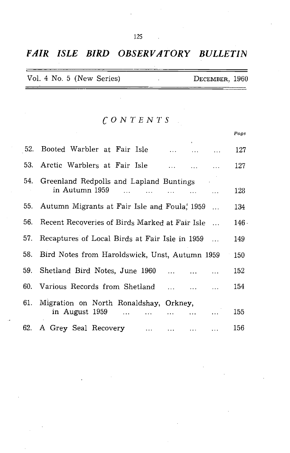# *FAIR ISLE BIRD OBSERVATORY BULLETIN*

| Vol. 4 No. 5 (New Series) |  |  |  |  |  |  |  | DECEMBER, 1960 |  |
|---------------------------|--|--|--|--|--|--|--|----------------|--|
|---------------------------|--|--|--|--|--|--|--|----------------|--|

# *CONTENTS*

|     |                                                                                                   | Page             |
|-----|---------------------------------------------------------------------------------------------------|------------------|
|     | 52. Booted Warbler at Fair Isle                                                                   | 127              |
|     | 53. Arctic Warblers at Fair Isle<br>and the state                                                 | 127              |
| 54. | Greenland Redpolls and Lapland Buntings                                                           |                  |
|     | in Autumn 1959                                                                                    | 128              |
|     | 55. Autumn Migrants at Fair Isle and Foula, 1959                                                  | 134              |
| 56. | Recent Recoveries of Birds Marked at Fair Isle<br>$\mathbf{r}$                                    | 146 <sup>°</sup> |
| 57. | Recaptures of Local Birds at Fair Isle in 1959                                                    | 149              |
| 58. | Bird Notes from Haroldswick, Unst, Autumn 1959                                                    | 150              |
| 59. | Shetland Bird Notes, June 1960<br>$\ddotsc$                                                       | 152              |
|     | 60. Various Records from Shetland<br>$\ddotsc$                                                    | 154              |
| 61. | Migration on North Ronaldshay, Orkney,                                                            |                  |
|     | in August 1959<br>$\cdots$                                                                        | 155              |
|     | 62. A Grey Seal Recovery<br>$\mathbf{1}$ , $\mathbf{1}$<br>$\ddotsc$<br>and the con-<br>$\ddotsc$ | 156              |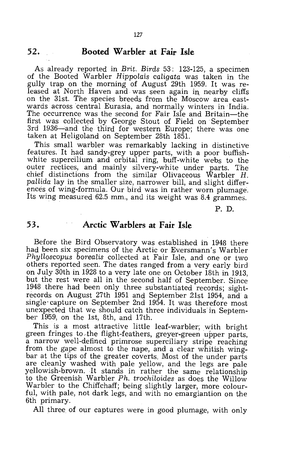#### **52. Booted Warbler at Fair Isle**

As already reported in *Brit. Birds* 53: 123-125, a specimen of the Booted Warbler *Hippolais caligata* was taken in the gully trap on the morning of August 29th 1959. It was released at North Haven and was seen again in nearby cliffs on the 31st. The species breeds from the Moscow area eastwards across central Eurasia, and normally winters in India. The occurrence was the second for Fair Isle and Britain-the first was collected by George Stout of Field on September 3rd 1936~and the third for western Europe; there was one taken at Heligoland on September 28th 1851.

This small warbler was remarkably lacking in distinctive features. It had sandy-grey upper parts, with a poor buffishwhite supercilium and orbital ring, buff-white webs to the outer rectices, and mainly silvery-white under parts. The chief distinctions from the similar Olivaceous Warbler H. *pallida* lay in the smaller size, narrower bill, and slight differences of wing-formula. Our bird was in rather worn plumage. Its wing measured 62.5 mm., and its weight was 8.4 grammes.

P. D.

#### **53. Arctic Warblers at Fair Isle**

Before the Bird Observatory was established in 1948 there had been six specimens of the Arctic or Eversmann's Warbler *Phylloscopus borealis* collected at Fair Isle, and one or two others reported seen. The dates ranged from a very early bird on July 30th in 1928 to a very late one on October 18th in 1913, but the rest were all in the second half of September. Since 1948 there had been only three substantiated records; sightrecords on August 27th 1951 and September 21st 1954, and a single' capture on September 2nd 1954. It was therefore most unexpected that we should catch three individuals in September 1959, on the 1st, 8th, and 17th.

This is a most attractive little leaf-warbler; with bright green fringes to the flight-feathers, greyer-green upper parts, a narrow well-defined primrose superciliary stripe reaching from the gape almost to the nape, and a clear whitish wingbar at the tips of the greater coverts. Most of the under parts are cleanly washed with pale yellow, and the legs are pale yellowish-brown. It stands in rather the same relationship to the Greenish Warbler *Ph. trochiloides* as does the Willow Warbler to the Chiffchaff; being slightly larger, more colourful, with pale, not dark legs, and with no emargiantion on the 6th primary.

All three of our captures were in good plumage, with only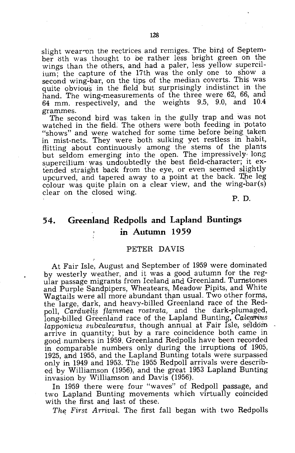slight wear on the rectrices and remiges. The bird of September 8th was thought to be rather less bright green on the wings than the others, and had a paler, less yellow supercilium; the capture of the 17th was the only one to show a second wing~bar, on the tips of the median coverts. This was quite obvious in the field but surprisingly indistinct in the hand. The wing-measurements of the three were 62, 66, and 64 mm. respectively, and the weights 9.5, 9.0, and *lOA*  grammes.

The second bird was taken in the gully trap and was not watched in the field. The others were both feeding in potato "shows" and were watched for some time before being taken in mist-nets. They were both sulking yet restless in habit, flitting about continuously among the stems of the plants but seldom emerging into the open. The impressively, long supercilium was undoubtedly the best field-character; it extended straight back from the eye, or even seemed slightly upcurved, and tapered away to a point at the back. The leg colour was quite plain on a clear view, and the wing-bar(s) clear on the closed wing.

P. D.

# **54. Greenland Redpolls and Lapland Buntings in Autumn 1959**

#### PETER DAVIS

At Fair Isle, August and September of 1959 were dominated by westerly weather, and it was a good autumn for the regular passage migrants from Iceland and Greenland. Turnstones and Purple Sandpipers, Wheatears, Meadow Pipits, and White Wagtails were all more abundant than usual. Two other forms, the large, dark, and heavy-billed Greenland race of the Redpoll, *Carduelis flammea rostrata*, and the dark-plumaged, long-billed Greenland race of the Lapland Bunting, *Calcanius lapponicus subcalearatus, though annual at Fair Isle, seldom* arrive in quantity; but by a rare coincidence both came in good numbers in 1959. Greenland Redpolls have been recorded in comparable numbers only during the irruptions of 1905, 1925, and 1955, and the Lapland Bunting totals were surpassed only in 1949 and 1953. The 1955 Redpoll arrivals were described by Williamson (1956), and the great 1953 Lapland Bunting invasion by Williamson and Davis (1956).

In 1959 there were four "waves" of Redpoll passage, and two Lapland Bunting movements which virtually coincided with the first and last of these.

The First Arrival. The first fall began with two Redpolls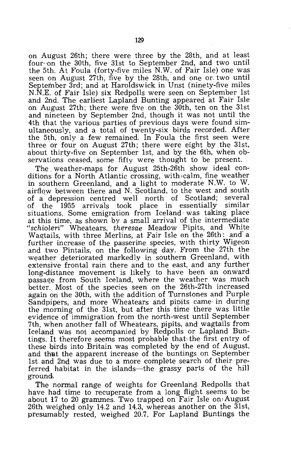on August 26th; there were three by the 28th, and at least four on the 30th, five 31st to September 2nd, and two until the 5th. At Foula (forty-five miles N.W. of Fair Isle) one was seen on August 27th, five by the 28th, and one or. two until September 3rd; and at Haroldswick in Unst (ninety-five miles N.N.E. of Fair Isle) six Redpolls were seen on September 1st and 2nd. The earliest Lapland Bunting appeared at Fair Isle on August 27th; there were five on the 30th, ten on the 31st and nineteen by September 2nd, though it was not until the 4th that the various parties of previous days were. found simultaneously, and a total of twenty-six birds recorded. After the 5th, only a few remained. In Foula the first seen were three or four on August 27th; there were eight by the 31st, about thirty-five on September 1st, and by the 6th, when observations ceased, some fifty were thought to be present.

The. weather-maps for August 25th-26th show ideal conditions for a North Atlantic crossing, with calm, fine weather in southern Greenland, and a light to moderate N.W. to W. airflow between there and N. Scotland, to the west and south of a depression centred well north of Scotland; several<br>of the 1955 arrivals took place in essentially similar of the 1955 arrivals took place in essentially situations. Some emigration from Iceland· was taking place at this time, as shown by a small arrival of the intermediate "*schioleri*" Wheatears, *theresae* Meadow Pipits, and White Wagtails, with three Merlins, at Fair Isle on the 26th: and a further increase of the passerine species, with thirty Wigeon and two Pintails, on the following day. From the 27th the weather deteriorated markedly in southern Greenland, with extensive frontal rain there and to the east, and any further long-distance movement is likely to have been an onward passage from South Iceland, where the weather was much better. Most of the species seen on the 26th-27th increased again on the 30th, with the addition of Turnstones and Purple Sandpipers, and more Wheatears and pipits came in during the morning of the 31st, but after this time there was little evidence of immigration from the north-west until September 7th. when another fall of Wheatears, pipits, and wagtails from Iceland was not accompanied by Redpolls or Lapland Buntings. It therefore seems most probable that- the first entry of these birds into Britain was completed by the end of August, and that the apparent increase of the buntings on September 1st and 2nd was due to a more complete search of their preferred habitat in the islands—the grassy parts of the hill ground.

The normal range of weights for Greenland Redpolls that have had time to recuperate from a long flight seems to be about  $17$  to  $20$  grammes. Two trapped on Fair Isle on August 26th weighed only 14.2 and 14.3, whereas another on the 31st, presumably rested, weighed 20.7, For Lapland Buntings the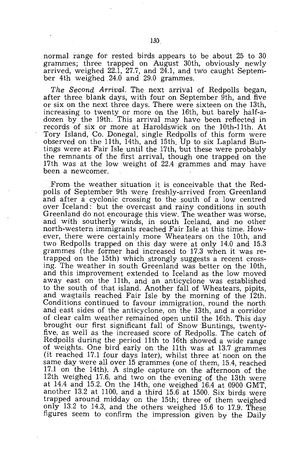normal range for rested birds appears to be about 25 to 30 grammes; three trapped on August 30th, obviously newly arrived, weighed  $22.\overline{1}$ ,  $27.7$ , and  $2\overline{4}.\overline{1}$ , and two caught September 4th weighed 24.0 and 29.0 grammes.

*The Second Arrival.* The next arrival of Redpolls began, after three blank days, with four on September 9th, and five or six on the next three days. There were sixteen on the 13th, increasing to twenty or more on the 16th, but barely half-adozen by the 19th. This arrival may have been reflected in records of six or more at Haroldswick on the 10th-11th. At Tory Island, Co. Donegal, single Redpolls of this form were observed on the 11th, 14th, and 15th. Up to six Lapland Buntings were at Fair Isle until the 17th, but these were probably the remnants of the first arrival, though one trapped on the 17th was at the low weight of 22.4 grammes and may have been a newcomer.

From the weather situation it is conceivable that the Redpolls of September 9th were freshly-arrived from Greenland and after a cyclonic crossing to the south of a low centred over Iceland: but the overcast and rainy conditions in south Greenland do not encourage this view. The weather was worse, and with southerly winds, in south Iceland, and no other north-western immigrants reached Fair Isle at this time. However, there were certainly more Wheatears on the 10th, and two Redpolls trapped on this day were at only 14.0 and 15.3 grammes (the former had increased to 17.3 when it was retrapped on the 15th) which strongly suggests a recent crossing. The weather in south Greenland was better on the 10th, and this improvement extended to Iceland as the low moved away east on the 11th, and an anticyclone was established to the south of that island. Another fall of Wheatears, pipits, and wagtails reached Fair Isle by the morning of the 12th. Conditions continued to favour immigration, round the north and east sides of the anticyclone, on the 13th, and a corridor of clear calm weather remained open until the 16th. This day brought our first significant fall of Snow Buntings, twentyfive, as well as the increased score of Redpolls. The catch of Redpolls during the period 11th to 16th showed a wide range of weights. One bird early on the 11th was at 13.7 grammes (it reached 17.1 four days later), whilst three at' noon on the same day were all over 15 grammes (one of them, 15.4, reached 17.1 on the 14th). A single capture on the afternoon of the 12th weighed 17.6, and two on the evening of the 13th were at 14.4 and 15.2. On the 14th, one weighed 16.4 at 0900 GMT, another 13.2 at 1100, and a third 15.6 at 1500. Six birds were trapped around midday on the 15th; three of them weighed only 13.2 to 14.3, and the others weighed 15.6 to 17.9. These figures seem to confirm the impression given by the Daily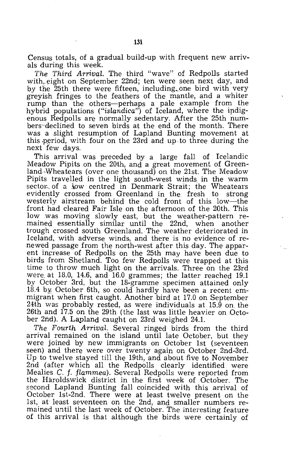Census totals, of a gradual build-up with frequent new arrivals during this week.

The Third Arrival. The third "wave" of Redpolls started with, eight on September 22nd; ten were seen next day, and by the 25th there were fifteen, including, one bird with very greyish fringes to the feathers of the mantle, and a whiter rump than the others-perhaps a pale example from the hybrid populations ("islandica") of Iceland, where the indigenous Redpolls are normally sedentary. After the 25th numbers"declined to seven birds at the end of the month. There was a slight resumption of Lapland Bunting movement at this .pgriod, with four on the 23rd and up to three during the next few days.

This arrival was preceded by a large fall of Icelandic Meadow Pipits on the 20th, and a great movement of Greenland,Wheatears (over one thousand) on the 21st. The Meadow Pipits travelled in the light south-west winds. in the warm sector of a low centred in Denmark Strait; the Wheatears evideptly crossed from Greenland in the fresh to strong westerly airstream behind the cold front of this low-the front had cleared Fair Isle on the afternoon of the 20th. This low was moving slowly east, but the weather-pattern remained essentially similar until the 22nd, when another trough crossed south Greenland. The weather deteriorated in Iceland, with adverse winds, and there is no evidence of renewed passage from the north-west after this day. The apparent increase of Redpolls on the 25th may have been due to birds from Shetland. Too few Redpolls were trapped at this time to throw much light on the arrivals. Three on the 23rd were. at 18.0, 14.6, and 16.0 grammes; the latter reached 19.1 by October 3rd, but the 18-gramme specimen attained only 18.4 by. October 6th, so could hardly have been a recent emmigrant when first caught. Another bird at 17.0 on September 24th was probably rested, as were individuals at 15.9 on the 26th and 17.5 on the 29th (the last was little heavier on October 2nd). A Lapland caught on  $23rd$  weighed  $24.1$ .

The Fourth Arrival. Several ringed birds from the third arrival remained on the island until late October, but they were joined by new immigrants on October 1st (seventeen seen) and there were over twenty again on October 2nd-3rd. Up to twelve stayed till the 19th, and about five to November 2nd (after which all the Redpolls clearly identified were Mealies C. f. flammea). Several Redpolls were reported from the Haroldswick district in the first week of October. The second Lapland Bunting fall coincided with this arrival of October 1st-2nd. There were at least twelve present on the 1st, at least seventeen on the 2nd, and smaller numbers remained until the last week of October. The interesting feature of this arrival is that although the birds were certainly of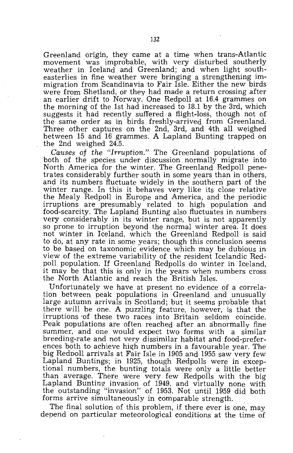Greenland origin, they came at a time when trans-Atlantic movement was improbable, with very disturbed southerly weather in Iceland and Greenland; and when light southeasterlies in fine weather were bringing a strengthening immigration from Scandinavia to Fair Isle. Either the new birds were from Shetland, or they had made a return crossing after an earlier drift to Norway. One Redpoll at 16.4 grammes on the morning of the 1st had increased to 18.1 by the 3rd, which suggests it had recently suffered a flight-loss, though not of the same order as in birds freshly-arrived from Greenland. Three other captures on the 2nd, 3rd, and 4th all weighed between 15 and 16 grammes. A Lapland Bunting trapped on the 2nd weighed 24.5.

*Causes* of *the "Irruption."* The Greenland populations of both of the species under discussion normally migrate into North America for the winter. The Greenland Redpoll penetrates considerably further south in some years than in others, and its numbers fluctuate widely in the southern part of the winter range. In this it behaves very like its close relative the Mealy Redpoll in Europe and America, and the periodic irruptions are presumably related to high population and food-scarcity. The Lapland Bunting also fluctuates in numbers very considerably in its winter range, but is not apparently so prone to irruption beyond the normal winter area. It does not winter in Iceland, which the Greenland Redpoll is said to do, at any rate in some years; though this conclusion seems to be based on taxonomic evidence which may be dubious in view of the extreme variability of the resident Icelandic Redpoll population. If Greenland Redpolls do winter in Iceland, it may be that this is only in the years when numbers cross the North Atlantic and reach the British Isles,

Unfortunately we have at present no evidence of a correlation between peak populations in Greenland and unusually large autumn arrivals in Scotland; but it seems probable that there will be one. A puzzling feature, however, is that the irruptions 'of these two races into Britain seldom coincide. Peak populations are often reached after an abnormally fine summer, and one would expect two forms with a similar breeding-rate and not very dissimilar habitat and food-preferences both to achieve high numbers in a favourable year. The big Redpoll arrivals at Fair Isle in 1905 and 1955 saw very few Lapland Buntings; in 1925, though Redpolls were in exceptional numbers, the bunting totals were only a little better than average. There were very few Redpolls with the big Lapland Bunting invasion of 1949, and virtually none with the outstanding "invasion" of 1953. Not until 1959 did both forms arrive simultaneously in comparable strength.

The final solution of this problem, if there ever is one, may depend on particular meteorological conditions at the time of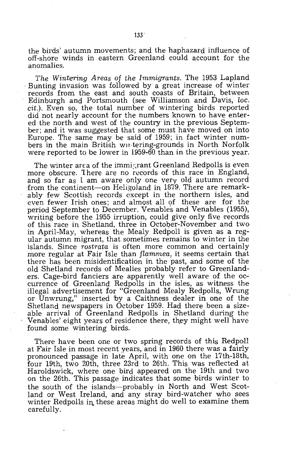the birds' autumn movements; and the haphazard influence of off-shore winds in eastern Greenland could account for the anomalies.

*The Wintering Areas* of *the Immigrants.* The 1953 Lapland . Bunting invasion was followed by a great increase of winter records from the east and south coasts of Britain, between Edinburgh and Portsmouth (see Williamson and Davis, *loc. cit.).* Even so, the total number of wintering birds reported did not nearly account for the numbers known to have entered the north and west of the country in the previous September; and it was suggested that some must have moved on into Europe. The same may be said of 1959; in fact winter numbers in the main British will tering-grounds in North Norfolk were reported to be Jower in 1959-60 than in the previous year.

The winter area of the immistant Greenland Redpolls is even more obscure. 1here are no records of this race in England, and so far as 1 am aware only one very old autumn record from the continent-on Heligoland in 1879. There are remarkably few Scottish records except in the northern isles, and even fewer Irish ones; and almost all of these are for the period September to December. Venables and Venables (1955), writing before the 1955 irruption, could give only five records of this race in Shetland, three in October-November and two in April-May, whereas the Mealy Redpoll is given as a regular autumn migrant, that sometimes remains to winter in the islands. Since *rostrata* is often more common and certainly more regular at Fair Isle than *flammea,* it seems certain that there has been misidentification in the past, and some of the old Shetland records of Mealies probably refer to Greenlanders. Cage-bird fanciers are apparently well aware of the occurrence of Greenland Redpolls in the isles, as witness the illegal advertisement for "Greenland Mealy Redpolls, Wrung or Unwrung," inserted 'by a Caithness dealer in one of the Shetland newspapers in October 1959. Had there been a sizeable arrival of Greenland Redpolls in Shetland during the Venables' eight years of residence there, they might well have found some wintering birds.

There have been one or two spring records of this Redpoll at Fair Isle in most recent years, and in 1960 there was a fairly pronounced passage in late April, with one on the 17th-18th, four 19th, two 20th, three 23rd to 26th. This was reflected at Haroldswick, where one bird appeared on the 19th and two on the 26th. This passage indicates that some birds winter to the south of the islands-probably in North and West Scotland or West Ireland, and any stray bird-watcher who sees winter Redpolls in these areas might do well to examine them carefully.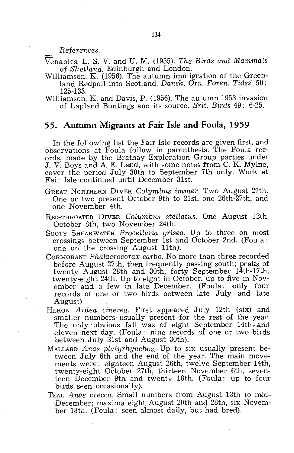$References.$ 

Venables, L. S. V. and U. M. (1955). *The Birds and Mammals* of *Shetland.* Edinburgh and London.

- Williamson, K. (1956). The autumn immigration of the Greenland Redpoll into Scotland. *Dansk. Orn. Foren. Tidss.* 50: 125-133.
- Williamson, K. and Davis, P. (1956). The autumn 1953 invasion of Lapland Buntings and its source. *Brit. Birds* 49: 6-25.

### **55. Autumn Migrants at Fair Isle and Foula, 1959**

In the following list the Fair Isle records are given first, and observations at F'oula follow in parenthesis. The Foula reCords, made by the Brathay Exploration Group parties under J. V. Boys and A. E. Land, with some notes from C. K. Mylne, cover the period July 30th to September 7th only. Work at Fair Isle continued until December 31st.

- GREAT NORTHERN DIVER *Colymbus immer.* Two August 27th. One or two present October 9th to 21st, one 26th-27th, and one November 4th.
- RED-THROATED DIVER *Colymbus stellatus.* One August 12th, October 8th, two November 24th.
- SOOTY SHEARWATER *Procellaria grisea.* Up to three on most crossings between September 1st and October 2nd. (Foula: one on the crossing August 11th).
- CORMORANT *Phalacrocorax carbo.* No more than three recorded before August 27th, then frequently passing south; peaks of twenty August 28th and 30th, forty September 14th-17th, twenty-eight 24th. Up to eight in October, up to five in November ,and a few in late December. (Foula: only four records of one or two birds between late July and late August).
- HERON *Ardea cinerea*. First appeared July 12th (six) and smaller numbers usually present for the rest of the year. The only obvious fall was of eight September 14th, and eleven next day. (Foula: nine records of one or two birds between July 31st and August 30th).
- MALLARD *Anas platyrhynchos.* Up to six usually present between July 6th and the end of the year. The main movements were: eighteen August 26th, twelve September 14th, twenty-eight October 27th, thirteen November 6th, seventeen December 9th and twenty 18th. (Foula: up to four birds seen occasionally).
- TEAL *Anas crecca.* Small numbers from August 13th to mid-December; maxima eight August 20th and 28th, six November 18th. (Foula: seen almost daily, but had bred).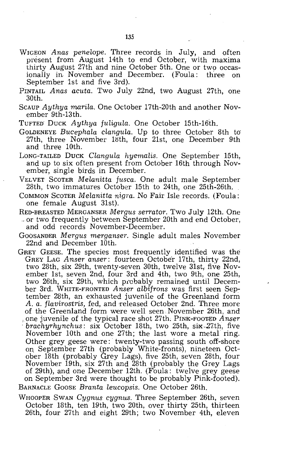- WIGEON *Anas penelope.* Three records in July, and often present from August 14th to end October, with maxima thirty August 27th and nine October 5th. One or two occasionally in November and December. (Foula: three on September 1st and five 3rd).
- PINTAIL *Anas acuta.* Two July 22nd, two August 27th, one 30th.
- SCAUP *Aythya marila.* One October 17th-20th and another November 9th-13th.
- TUFTED' DUCK *Aythya fuligula.* One October 15th-16th.
- GOLDENEYE *Bucephala clangula.* Up to three October 8th to' 27th, three November 18th, four 21st, one December 9th and thre'e 10th.
- LONG-TAILED DUCK *Clangula hyemalis.* One September 15th, and up to six often present from October 16th through November, single birds in December.
- VELVET SCOTER *Melanitta fusca.* One adult male September 28th, two immatures October 15th to 24th, one 25th-26th.
- COMMON SCOTER *Melanitta nigra.* No Fair Isle records. (Foula: one female August 31st).
- HED-BREASTED MERGANSER *Mergus serrator.* Two July 12th. One or two frequently between September 20th and end October, and odd records November-December.
- GOOSANDER *Mergus merganser.* Single adult males November 22nd and December 10th.
- GREY GEESE. The species most frequently identified was the GREY LAG *Anser anser:* fourteen October 17th, thirty 22nd, two 28th, six 29th, twenty-seven 30th, twelve 31st, five November 1st, seven 2nd, four 3rd and 4th, two 9th, one 25th, two 26th, six 29th, which prebably remained until December 3rd. WHITE-FRONTED Anser albifrons was first seen September 28th, an exhausted juvenile of the Greenland form A. *a. flavirostris,* fed, and 'released October 2nd. Three more of the Greenland form were well seen November 26th, and one juvenile of the typical race shot 27th. PINK-FOOTED Anser brachyrhynchus: six October 18th, two 25th, six 27th, five November 10th and one 27th; the last wore a metal ring. Other grey geese were: twenty-two passing south off-shore on, September 27th (probably White-fronts), nineteen October 18th (probably Grey Lags), five 25th, seven 28th, four November 19th, six 27th and 28th (probably the Grey Lags of 29th), and one December 12th. (Foula: twelve grey geese on September 3rd were thought to be probably Pink-footed). BARNACLE GOOSE *Branta leucopsis.* One October 26th.
- WHOOPER SWAN *Cygnus cygnus.* Three September 26th, seven October 18th, ten 19th, two 20th, over thirty 25th, thirteen 26th, four 27th and eight 29th; two November 4th, eleven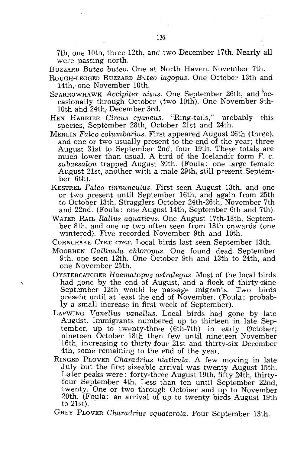7th, one 10th, three 12th, and two December 17th. Nearly all were passing north.

BUZZARD *Buteo buteo.* One at North Haven, November 7th.

- ROUGH-LEGGED BUZZARD *Buteo lagopus.* One October 13th and 14th, one November 10th.
- SPARROWHAWK *Accipiter nisus.* One September 26th, and 'occasionally through October (two 10th). One November 9th-10th and 24th, December 3rd.
- HEN HARRIER *Circus cyaneus.* "Ring-tails," probably this species, September 28th, October 21st and 24th.
- MERLIN *Falco columbarius.* First appeared August 26th (three), and one or two usually present to the end of the year; three August 31st to September 2nd, four 19th. These totals are much lower than usual. A bird of the Icelandic form F. c. *subaesalon* trapped August 30th. (Foula: one large female August 21st, another with a male 29th, still present September 6th).
- KESTREL Falco tinnunculus. First seen August 13th, and one or two present until September 16th, and again from 25th to October 13th. Stragglers October 24th-26th, November 7th and 22nd. (Foula: one August 14th, September 6th and 7th).
- WATER RAIL *Rallus aquaticus.* One August 17th-18th, September 8th, and one or two often seen from 18th onwards (one wintered). Five recorded November 9th and 10th.

CORNCRAKE *Crex crex.* Local birds last seen September 13th.

- MOORHEN *Gallinula chloropus*. One found dead September 9th, one seen 12th. One October 9th and 13th to 24th, and one November 25th.
- OYSTERCATCHER *Haematopus ostralegus.* Most of the local 'birds had gone by the end of August, and a flock of thirty-nine September 12th would be passage migrants. Two birds present until at least the end of November. (Foula: probably a small increase in first week of September).
- LAPWING Vanellus vanellus. Local birds had gone by late August. Immigrants numbered up to thirteen in late September, up to twenty-three (6th-7th) in early October; nineteen October 18th then few until nineteen November 16th, increasing to thirty-four 21st and thirty-six December 4th, some remaining to the end of the year.
- RINGED PLOVER *Charadrius hiaticula*. A few moving in late JUly but the first sizeable arrival was twenty August 15th. Later peaks were: forty-three August 19th, fifty 24th, thirtyfour September 4th. Less than ten until September 22nd, twenty. One or two through October and up to November 20th. (Foula: an arrival of up to twenty birds August 19th to 21st).

GREY PLOVER *Charadrius squatarola.* Four September 13th.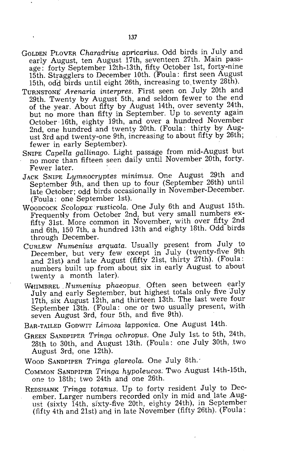- GOLDEN PLOVER *Charadrius apricarius.* Odd birds in July and early August, ten August 17th, seventeen 27th. Main passage: forty September 12th-13th, fifty October 1st, forty-nine 15th. Stragglers to December 10th. (Foula: first seen August 15th, odd birds until eight 26th, increasing to twenty  $28th$ .
- TURNSTONE' *Arenaria interpres.* First seen on July 20th and 29th. Twenty by August 5th, and seldom fewer to the end of the year. About fifty by August 14th, over seventy 24th, but no more than fifty in September. Up to seventy again October 16th, eighty 19th, and over a hundred November 2nd, one hundred and twenty 20th. (Foula: thirty by August 3rd apd twenty-one 9th, increasing to about fifty by 26th; fewer in early September).
- SNIPE *Capella gaLlinago.* Light passage from mid-August but no more than fifteen seen daily until November 20th, forty. Fewer later.
- JACK SNIPE *Lymnocryptes minimus.* One August 29th and September 9th, and then up to four (September 26th) until late October; odd birds occasionally in November-December. (Foula: one September 1st).
- WOODCOCK *Scolopax rusticola.* One July 6th and August 15th. Frequently from October 2nd, but very small numbers exfifty 31st. More common in November, with over fifty 2nd and 6th, 150 7th, a hundred 13th and eighty 18th. Odd birds through December. .
- CURLEW *Numenius arquata.* Usually present from JUly to December, but very few except in July (twenty-five 9th and 21st) and late August (fifty 21st, thirty 27th). (Foula: numbers built up from about six in early August to about twenty a month later).
- WHIMBREL Numenius phaeopus. Often seen between early July and early September, but highest totals only five July 17th, six August 12th, and thirteen 13th. The last were four September 13th. (Foula: one or two usually present, with seven August 3rd, four 5th, and five 9th).
- BAR-TAILED GODWIT *Limosa lapponica.* One August 14th.
- GREEN SANDPIPER *Tringa ochropus.* One July 1st. to 5th, 24th, 28th to 30th, and August 13th. (Foula: one July 30th, two August 3rd, one 12th).
- WOOD SANDPIPER *Tringa glareola.* One July 8th.'
- COMMON SaNDPIPER *Tringa hypoleucos.* Two August 14th-15th, one to 18th; two 24th and one 26th.
- REDSHANK *Tringa totanus.* Up to forty resident July to December. Larger numbers recorded only in mid and late August (sixty 14th. sixty-five 20th, eighty 24th), in September (fifty 4th and 21st) and in late November (fifty 26th). (Foula: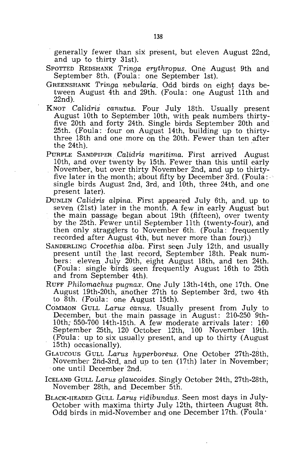generally fewer than six present, but eleven August 22nd, and up to thirty 31st}.

- SPOTTED REDSHANK *Tringa erythropus.* One August 9th and September 8th. (Foula: one September 1st).
- GREENSHANK *Tringa nebularia.* Odd birds on eight days between August 4th and 29th. (Foula: one August 11th and 22nd).
- KNOT *Calidris canutus.* Four July 18th. Usually present August 10th to September 10th, with peak numbers thirtyfive 20th and forty 24th. Single birds September 20th and 25th. (Foula: four on August 14th, building up to thirtythree 18th and one more on the 20th. Fewer than ten after the 24th).
- PuRPLE SANDPIPER *Calidris maritima.* First arrived August 10th, and over twenty by 15th. Fewer than this until early November, but over thirty November 2nd, and up to thirtyfive later in the month; about fifty by December 3rd. (Foula:  $\cdot$ single birds August 2nd, 3rd, and 10th, three 24th, and one present later).
- DUNLIN *Calidris alpina.* First appeared July 6th, and. up to seven (21st) later in the month. A few in early August but the main passage began about 19th (fifteen), over twenty by the 25th. Fewer until September 11th (twenty-four), and then only stragglers to November 6th. (Foula: frequently recorded after August 4th, but never more than four).)
- SANDERLING *Crocethia alba.* First seen July 12th, and usually present until the last record, September 18th. Peak numbers: eleven. JUly 20th, eight August 18th, and ten 24th. (Foula: single birds seen frequently August 16th to 25th and from September 4th).
- RUFF *Philomachus pugnax.* One July 13th-14th, one 17th. One August 19th-20th, another 27th to September 3rd, two 4th to 8th. (Foula: one August 15th).
- COMMON GULL Larus canus. Usually present from July to December, but the main passage in August: 210-250 9th-10th,' 550-700 14th-15th. A few moderate arrivals later: 160 September 25th, 120 October 12th, 100 November 19th. (Foula: up to six usually present, and up to thirty (August 15th) occasionally). .
- GLAUCOUS GULL *Larus hyperboreus.* One October 27th-28th, November 2nd-3rd, and un to ten (17th) later in November; one until December' 2nd. -
- ICELAND GULL *Larus glaucoides.* Singly October 24th, 27th-28th, November 28th, and December 5th.
- BLACK-HEADED GULL *Larus ridibundus.* Seen most days in July-October with maxima thirty July 12th, thirteen August 8th. Odd birds in mid-November and one December 17th. (Foula'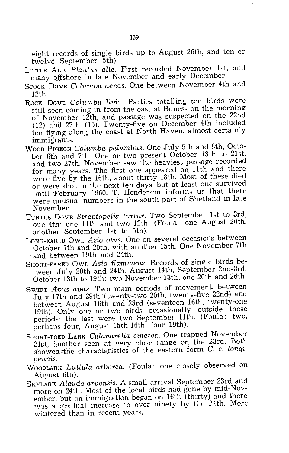eight records of single birds up to August 26th, and ten or

- twelve September 5th).<br>LITTLE AUK Plautus alle. First recorded November 1st, and many offshore in late November and early December.
- STOCK DOVE *Columba aenas.* One between November 4th and 12th.
- RoCK DOVE *Columba livia.* Parties totalling ten birds were still seen coming in from the east at Buness on the morning of November 12th, and passage was suspected on the 22nd  $(12)$  and 27th  $(15)$ . Twenty-five on December 4th included ten flying along the coast at North Haven, almost certainly immigrants.
- WOOD PIGEON *Columba palumbus.* One July 5th and 8th, October 6th and 7th. One or two present October 13th to 21st, and two 27th. November saw the heaviest passage recorded for many years. The first one appeared on 11th and there were five by the 16th, about thirty 18th. Most of these died or were shot in the next ten days, but at least one survived until February 1960. T. Henderson informs us that. there were unusual numbers in the south part of Shetland in late November.
- TURTLE DOVE *Streptopelia turtur.* Two September 1st to 3rd, one 4th; one 11th and two 12th. (Foula: one August 20th, another September 1st to 5th).
- LONG-EARED OWL *Asio otus.* One on several occasions between October 7th and 20th. with another 15th. One November 7th and between 19th and 24th.
- SHORT-EARED OWL Asio flammeus. Records of single birds between July 20th and 24th. August 14th, September 2nd-3rd, October 13th to 19th; two November 13th, one 20th and 26th.
- SWIFT *Arms apus.* Two main periods of movement. between .July 17th and 29th (twentv-two 20th, twentv-five 22nd) and 19th). Only one or two birds occasionally outside these periods; the last were two September 11th. (Foula: two, perhaps four, August 15th-16th, four 19th).
- SHORT-TOED LARK *Calandrella cinerea*. One trapped November 21st, another seen at very close range on the 23rd. Both showed ~the characteristics of the eastern form C. c. *longipennis.*
- WOODLARK *Lullula arborea.* (Foula: one closely observed on August 6th).
- SKYLARK *Alauda arvensis.* A small arrival September 23rd and more on 24th. Most of the local birds had gone by mid-November, but an immigration began on 16th (thirty) and there was a gradual increase to over ninety by the 24th. More wintered than in recent years,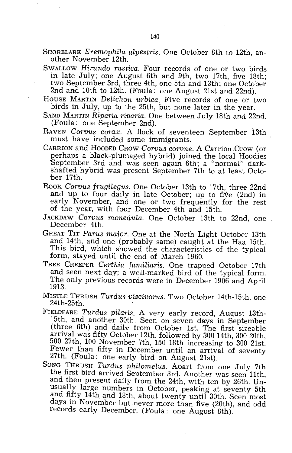SHORELARK *EremophiLa alpestris.* One October 8th to 12th, another November 12th.

- SWALLOW *Hirundo rustica.* Four records of one or two birds in late July; one August 6th and 9th, two 17th, five 18th; two September 3rd, three 4th, one 5th and 13th; one October 2nd and 10th to 12th. (Foula: one August 21st and 22nd).
- HOUSE MARTIN *Delichon urbica.* Five records of one or two birds in July, up to the 25th, but none later in the year.
- SAND MARTIN *Riparia riparia.* One between July 18th and 22nd. (Foula: one September 2nd).
- RAVEN *Corvus corax.* A flock of seventeen September 13th must have included some immigrants.
- CARRION and HOODED CROW *Corvus corOne.* A Carrion Crow (or perhaps a black-plumaged hybrid) joined the local Hoodies September 3rd and was seen again 6th; a "normal" darkshafted hybrid was present September 7th to at least October 17th.
- ROOK *Corvus frugilegus.* One October 13th to 17th, three 22nd .and up to four daily in late October; up to five (2nd) in early November, and one or two frequently for the rest of the year, with four December 4th and 15th.
- JACKDAW *Corvus monedula.* One October 13th to 22nd, one December 4th.
- GREAT TIT Parus major. One at the North Light October 13th and 14th, and one (probably same) caught at the Haa 15th. This bird, which showed the characteristics of the typical form, stayed until the end of March 1960.
- TREE CREEPER *Certhia familiaris.* One trapped October 17th and seen next day; a well-marked bird of the typical form. The only previous records were in December 1906 and April 1913.
- MISTLE THRUSH *Turdus viscivorus.* Two October 14th-15th, one 24th-25th.
- FIELDFARE *Turdus pilaris.* A very early record, August 13th-15th, and another 30th. Seen on seven davs in September (three 6th) and daily from October 1st. The first sizeable arrival was fifty October 12th. followed by 300 14th, 300 20th, 500 27th, 100 November 7th, 150 18th increasing to 300 21st. Fewer than fifty in December until an arrival of seventy 27th. (Foula: dne early bird on August 21st).
- SONG THRUSH *Turdus philomelus.* Aoart from one July 7th the first bird arrived September 3rd. Another was seen 11th, and then present daily from the 24th, with ten by 26th. Unusually large numbers in October, peaking at seventy 5th and fifty 14th and 18th, about twenty until 30th. Seen most days in November but never more than five (20th), and odd records early December. (Foula: one August 8th).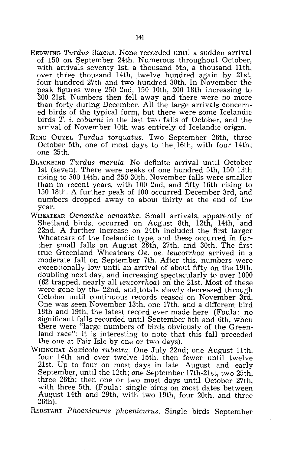- REDWING *Turdus iliacus*. None recorded until a sudden arrival of 150 on September 24th. Numerous throughout October, with arrivals seventy 1st, a thousand 5th, a thousand 11th, over three thousand 14th, twelve hundred again by 21st, four hundred 27th and two hundred 30th. In November the peak figures were 250 2nd, 150 10th, 200 18th increasing to 300 21st. Numbers then fell away qnd there were no more than forty during December. All the large arrivals concerned birds of the typical form, but there were some Icelandic birds T. i. *coburni* in the last two falls of October, and the arrival of November 10th was entirely of Icelandic origin.
- RING OUZEL *Turdus torquatus.* Two September 26th, three October 5th, one of most days to the 16th, with four 14th; one 25th.
- BLACKBIRD *Turdus merula.* No definite arrival until October 1st (seven). There were peaks of one hundred 5th, 150 13th rising to 300 14th, and 250 30th. November falls were smaller than in recent years, with 100 2nd, and fifty 16th rising to 150 18th. A further peak of 100 occurred December 3rd, and numbers dropped away to about thirty at the end of the year.
- WHEATEAR *Oenanthe oenanthe.* Small arrivals, apparently of Shetland birds, occurred on August 8th, 12th, 14th, and 22nd. A further increase on 24th included the first larger Wheatears of the Icelandic type, and these occurred in further small falls on August 26th, 27th, and 30th. The first true Greenland Wheatears *Oe. oe. leucorrhoa* arrived in a moderate fall On September 7th. After this, numbers were exceotionally low until an arrival of about fifty on the 19th, doubling next day, and increasing spectacularly to over 1000 (62 trapped, nearly all *leucorrhoa)* on the 21st. Most of these were gone by the 22nd, and totals slowly decreased through October until continuous records ceased on November 3rd. One was seen November 13th, one 17th, and a different bird 18th and 19th, the latest recprd ever made here. (Foula: no significant falls recorded until September 5th and 6th, when there were "large numbers of birds obviously of the Greenland race"; it is interesting to note that this fall preceded the one at Fair Isle by one or two days).
- WHINCHAT *Saxicola rubetra.* One July 22nd; one August 11th, four 14th and over twelve 15th, then fewer until twelve 21st. Up to four on most days in late August and early September, until the 12th; one September 17th-21st, two 25th, three 26th; then one or two most days until October 27th, with three 5th. (Foula: single birds on most dates between August 14th and 29th, with two 19th, four 20th, and three 26th).
- REDSTART *Phoenicnrns phoenicurns.* Single birds September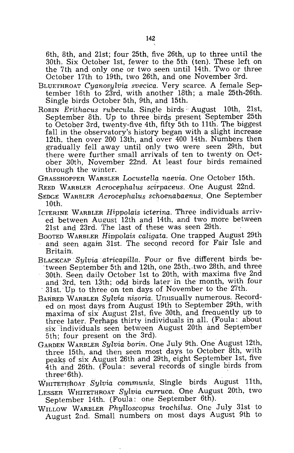6th, 8th, and 21st; four 25th, five 26th, up to three until the 30th. Six October 1st, fewer to the 5th (ten). These left on the 7th and only one or two seen until 14th. Two or three October 17th to 19th, two 26th, and one November 3rd.

- BLUETHROAT *Cyanosylvia svecica.* Very scarce. A female September 16th to 23rd, with another 18th; a male 25th-26th. Single birds October 5th, 9th, and 15th.
- ROBIN *Erithacus rubecula.* Single birds' August 10th, 21st, September 8th. Up to three birds present 'September 25th to October 3rd, twenty-five 4th, fifty 5th to 11th. The biggest fall in the observatory's history began with a slight increase 12th, then over 200 13th, and over 400 14th. Numbers then gradually fell away until only two were seen 29th, but there were further small arrivals of ten to twenty on October 30th, November 22nd. At least four birds remained through the winter.

GRASSHOPPER WARBLER *Locustella naevia.* One October 15th.

- REED WARBLER *Acrocephalus scirpaceus.One* August 22nd.
- SEDGE WARBLER *Acrocephalus schoenabaenus*. One September 10th.
- ICTERINE WARBLER *Hippolais icterina.* Three individuals arrived between August 12th and 14th, and two more between 21st and 23rd. The last of these was seen 29th.
- BOOTED WARBLER *Hippolais caligata.* One trapped August 29th and seen again 31st. The second record for Fair Isle and Britain.
- BLACKCAP -*Sylvia* . *atricapilla.* Four or five different birds be tween September 5th and 12th, one 25th, two 28th, and three 30th. Seen daily October 1st to 20th, with maxima five 2nd and 3rd, ten 13th; odd birds later in the month, with four 31st. Up to three on ten days of November to the 27th.
- BARRED 'WARBLER *Sulvia nisoria.* Unusually numerous. Recorded on most days from August 19th to September 29th, with maxima of six August 21st, five 30th, and frequently up to three later. Perhaps thirty individuals in alL (Foula: about six individuals seen between August 20th and September 5th; four present on the 3rd).
- GARDEN WARBLER *Sylvia borin.* One July 9th. One August 12th, three 15th, and then seen most days to October 8th, with peaks of six August 26th and 29th, eight September 1st, five 4th and 26th. (Foula: several records of single birds from three' 6th).

WmTETHhoAT *Sylvia communis.* Single birds August 11th,

- LESSER WHITETHROAT *Sylvia curruca.* One August 20th, two September 14th. (Foula: one September 6th).
- WILLOW WARBLER *Phylloscopus trochilus*. One July 31st to August 2nd. Small numbers on most days August 9th to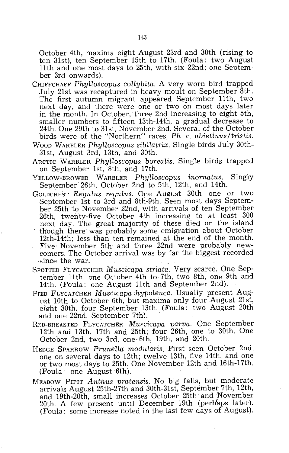October 4th, maxima eight August 23rd and 30th (rising to ten 31st), ten September 15th to 17th. (Foula: two August 11th and one most days to 25th, with six 22nd; one September 3rd onwards).

- CHIFFCHAFF *Phylloscopus collybita.* A very worn bird trapped July 21st was recaptured in heavy moult on September 8th. The first autumn migrant appeared September 11th, two next day, and there were one or two on most days later in the month. In October, 'three 2nd increasing to eight 5th, smaller numbers to fifteen 13th-14th, a gradual decrease to 24th. One 29th to 31st, November 2nd. Several of the October birds were of the "Northern" races, *Ph.* c. *abietinus/tristis.*
- WOOD WARBLER *PhyIloscopus sibilatrix.* Single birds July 30th-31st, August 3rd, 13th, and 30th.
- ARCTIC WARBLER *Phylloscopus borealis.* Single birds trapped on September 1st, 8th, and 17th.
- YELLOW-BROWED WARBLER *Phylloscopus inornatus.* Singly September 26th, October 2nd to 5th, 12th, and 14th.
- GOLDCREST *Regulus regulus.* One August 30th one or two September 1st to 3rd and 8th-9th. Seen most days September 25th to November 22nd, with arrivals of ten September 26th, twenty-five October 4th increasing to at least 300 next day. The great majority of these died on the island though there was probably some emigration about October 12th-14th; less than ten remained at the end of the month. Five November 5th and three 22nd were probably newcomers. The October arrival was by far the biggest recorded since the war.
- SPOTTED FLYCATCHER *Muscicapa striata.* Very scarce. One September 11th, one October 4th to 7th, two 8th, one 9th and 14th. (Foula: one August 11th and September 2nd).
- PIED FLYCATCHER *Muscicapa hypoleuca*. Usually present August 10th to October 6th, but maxima only four August 21st, eight 30th. four September 13th. (Foula: two August 20th and one 22nd, September 7th).
- RED-BREASTED FLYCATCHER *Muscicapa parva.* One September ] 2th and 13th. 17th and 25th; four 26th, one to 30th. One October 2nd, two 3rd, one· 6th, 19th, and 20th.
- HEDGE SPARROW *Prunella modularis.* First seen October 2nd, one on several days to 12th; twelve 13th, five 14th, and one or two most days to 25th. One November 12th and 16th-17th. (Foula: one August 6th). '
- MEADOW PIPIT *Anthus pratensis.* No big falls, but moderate arrivals August 25th-27th and 30th-31st, September 7th, 12th, and 19th-20th, small increases October 25th and 'November 20th. A few present until December 19th (perhaps later). (Foula: some increase noted in the last few days ot August).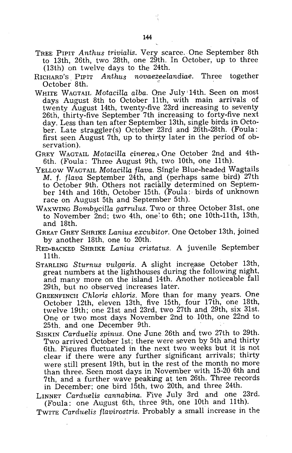- TREE PIPIT *Anthus trivialis.* Very scarce. One September 8th to 13th, 26th, two 28th, one 29th. In October, up to three (13th) on twelve days to the 24th.
- RICHARD'S PIPIT *Anthus novaezeelandiae.* Three together October 8th.
- WHITE WAGTAIL *Motacilla alba.* Qne July '14th. Seen on most days August 8th to October 11th, with main arrivals of twenty August 14th, twenty-five 23rd increasing to seventy 26th, thirty-five September 7th increasing to forty-five next day. Less than ten after September 13th, single birds in October. Late straggler(s) October 23rd and 26th-28th. (Foula: first seen August 7th, up to thirty later in the period of observation).
- GREY WAGTAIL *Motacilla cinerea*. One October 2nd and 4th-6th. (Foula: Three August 9th, two 10th, one 11th).
- YELLOW WAGTAIL *Motacilla flava.* Single Blue-headed Wagtails M. f. *flava* September 24th, and (perhaps same bird) 27th to October 9th. Others not racially determined on September 14th and 16th, October 15th. (Foula: birds of unknown race on August 5th and September 5th).
- WAXWING *Bombucilla garrulus.* Two or three October 31st, one to November 2nd; two 4th, one'to 6th; one 10th-11th, 13th, and 18th.
- GREAT GREY SHRIKE *Lanius ex cubit or.* One October 13th, joined by another 18th, one to 20th.
- RED-BACKED SHRIKE *Lanius cristatus.* A juvenile September 11th.
- STARLING Sturnus vulgaris. A slight increase October 13th, great numbers at the lighthouses during the following night, and many more on the island 14th. Another noticeable fall 29th, but no observed increases later.
- GREENFINCH *Chloris chloris.* More than for many years. One October 12th, eleven 13th, five 15th, four 17th, one 18th, twelve 19th; one 21st and 23rd, two 27th and 29th, six 31st. One or two most days November 2nd to 10th, one 22nd to 25th, and one December 9th.
- SISKIN *Carduelis spinus.* One June 26th and two 27th to 29th. Two arrived October 1st; there were seven by 5th and thirty 6th. Figures fluctuated in the next two weeks but it is not clear if there were any further significant arrivals; thirty were still present 19th, but in the rest of the month no more than three. Seen most days in November with 15-20 6th and 7th, and a further wave peaking at ten 26th. Three records in December; one bird 15th, two 20th, and three 24th.
- LINNET *Carduelis cannabina.* Five July 3rd and one 23rd. (Foula: one August 6th, three 9th, one 10th and 11th).

TWTTE *Cardnelis flavirostris.* Probably a small increase in the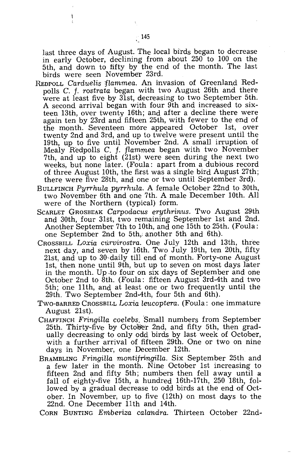last three days of August. The local birds began to decrease in early October, declining from about 250 to 100 on the 5th, and down to tifty by the end of the month. The last birds were seen November 23rd.

- REDPOLL *Carduelis flammea*. An invasion of Greenland Redpolls C. f. *rostrata* began with two August 26th and there were at least five by 31st, decreasing to two September 5th. A second arrival began with four 9th and increased to sixteen 13th, over twenty 16th; and after a decline there were again ten by 23rd and fifteen 25th, with fewer to the end of the month. Seventeen more appeared October 1st, over twenty 2nd and 3rd, and up to twelve were present until the 19th, up to five until November 2nd. A small irruption of Mealy Redpolls C. f. *flammea* began with two November 7th, and up to eight (21st) were seen during the next two weeks, but none later. (Foula: apart from a dubious record of three August 10th, the first was a single bird August 27th; there were five 28th, and one or two until September 3rd).
- BULLFINCH Pyrrhula pyrrhula. A female October 22nd to 30th, two November 6th and one 7th. A male December 10th. All were of the Northern (typical) form.
- SCARLET GROSBEAK *Carpodacus erythrinus.* Two August 29th and 30th, four 31St, two remaining September 1st and 2nd. Another September 7th to 10th, and one 15th to 25th. (Foula: one September 2nd to 5th,; another 5th and 6th).
- CROSSBILL *Loxia curvirostra.* One July 12th and 13th, three next day, and seven by 16th. Two July 19th, ten 20th, fifty 21st, and up to 30·daily till end of month. Forty-one August 1st, then none until 9th, but up to seven on most days later in the month. Up .to four on six days of September and one October 2nd to 8th. (Foula: fifteen August 3rd-4th and two 5th; one 11th, and at least one or two frequently until the 29th. Two September 2nd-4th, four 5th and 6th).
- TWO-BARRED CROSSBILL *Loxia leucoptera.* (Foula: one immature August 21st).
- CHAFFINCH *Fringilla coelebs.Small* numbers from September 25th. Thirty-five by October 2nd, and fifty 5th, then gradually decreasing to only odd birds by last week of October, with a further arrival of fifteen 29th. One or two on nine days in November, one December 12th.
- BRAMBLING *Fringilla montifringilla*. Six September 25th and a few later in the month. Nine October 1st increasing to fifteen 2nd and fifty 5th; numbers then fell away until a fall of eighty-five 15th, a hundred 16th-17th, 250 18th, followed by a gradual decrease to odd birds at the end of October. In November, up to five (12th) on most days to the 22nd. One December 11th and 14th.

CORN BUNTING *Emberiza cala'ndra.* Thirteen October 22nd-

ŧ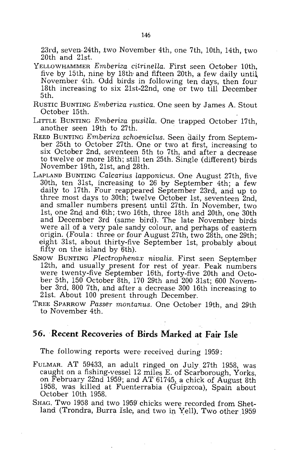23rd, seven-24th, two November 4th, one 7th, 10th, 14th, two 20th and 21st,

- YELLOWHAMMER *Emberiza citrinella.* First seen October 10th, five by 15th, nine by 18th and fifteen 20th, a few daily until November 4th. Odd birds in following ten days, then four 18th increasing to six 21st-22nd, one or two till December 5th.
- RUSTIC BUNTING *Emberiza rustica.* One seen by James A. Stout October 15th.
- LITTLE BUNTING *Emberiza pusilla.* One trapped October 17th, .another seen 19th to 27th.
- REED BUNTING *Emberiza schoeniclus.* Seen daily from September 25th to October 27th. One or two at first, increasing to six October 2nd, seventeen 5th to 7th, and after a decrease to twelve or more 18th; still ten 25th. Single (different) 'birds November 19th, 21st, and 28th.
- LAPLAND BUNTING *Calcarius lapponicus.* One August 27th, five 30th, ten 31st, increasing to 26 by September 4th; a few daily to 17th. Four reappeared September 23rd, and up to three most days to 30th; twelve October 1st, seventeen 2nd, and smaller numbers present until 27th. In November, two 1st, one 2nd and 6th; two 16th, three 18th and 20th, one 30th and December 3rd (same bird). The late November birds were all of a very pale sandy colour, and perhaps of eastern origin. (Foula: three or four August 27th, two 28th, one 29th; eight 31st, about thirty-five September 1st, probably about fifty on the island by 6th).
- SNOW BUNTING *Plectrophenax nivalis.* First seen September 12th, and usually present for rest of year. Peak numbers were twenty-five September 16th, forty-five 20th and October 5th, 150 October 8th, 170 29th and 200 31st; 600 November 3rd, 800 7th, and after a decrease 300 16th increasing to 21st. About 100 present through December.
- TREE SPARROW Passer montanus. One October 19th, and 29th to November 4th.

#### **56. Recent Recoveries of Birds Marked** .at **Fair Isle**

The following reports were received during 1959:

- FULMAR. AT 59433, an adult ringed on July 27th 1958, was caught on a fishing-vessel 12 miles E. of Scarborough, Yorks, on February 22nd 1959; and AT 61745, a chick of August 8th 1958, was killed at Fuenterrabia (Guipzcoa), Spain about October 10th 1958.
- SHAG. Two 1958 and two 1959 chicks were recorded from Shetland (Trondra, Burra Isle, and two in Yell). Two other 1959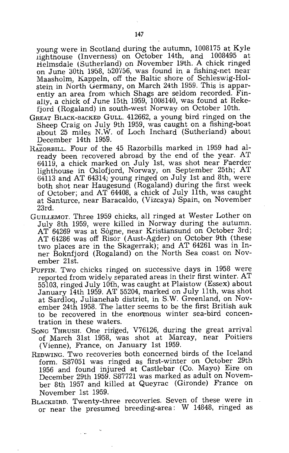young were in Scotland during the autumn, 1008175 at Kyle lighthouse (Inverness) on October 14th, and 1008495 at Helmsdale (Sutherland) on November 19th. A chick ringed on June 30th 1958, 520756, was found in a fishing-net near Maasholm-, Kappeln, off the Baltic shore of Schleswig-Holstein in North Germany, on March 24th 1959. This is apparently an area from which Shags are seldom recorded. Finally, a chick of June 15th  $1959, 1008140$ , was found at Rekefjord (Rogaland) in south-west Norway on October 10th.

- GREAT BLACK-BACKED GULL. 412662, a young bird ringed on the Sheep Craig on July 9th 1959, was caught on a fishing-boat about 25 miles N.W. of Loch Inchard (Sutherland) about December 14th 1959.
- HAZORBILL. Four of the 45 Razorbills marked in 1959 had already been recovered abroad by the end of the year. AT 64119, a chick marked on July 1st, was shot near Faerder lighthouse in Oslofjord, Norway, on September 25th; AT 64113 and AT 64314, young ringed on July 1st and 8th, were both shot near Haugesund (Rogaland) during the first week of October; and AT 64408, a chick of July 11th, was caught at Santurce, near Baracaldo, (Vizcaya) Spain, on November 23rd.
- GUILLEMOT. Three 1959 chicks, all ringed at Wester Lother on July 8th 1959, were killed in Norway during the autumn. AT 64269 was at Sogne, near Kristiansund on October 3rd; AT 64286 was off Risor (Aust-Agder) on October 9th (these two places are in the Skagerrak); and AT 64261 was in Inner Boknfjord (Rogaland) on the North Sea coast on November 21st.
- PUFFIN. Two chicks ringed on successive days in 1958 were reported from widely separated areas in their first winter. AT 55103, ringed July 10th, was caught at Plaistow (Essex) about January 14th 1959. AT 55204, marked on July 11th, was shot at Sardloq, Julianehab district, in S.W. Greenland, on November 24th 1958. The latter seems to be the first British auk to be recovered in the enormous winter sea-bird concentration in these waters.
- 80NG THRUSH. One ririged, V76126, during the great arrival of March 31st 1958, was shot at Marcay, near Poitiers (Vienne), France, on January 1st 1959.
- REDWING. Two recoveries both concerned birds of the Iceland form. 887051 was ringed as first-winter on October 29th 1956 and found injured at Castlebar (Co. Mayo) Eire on December 29th 1959. 887721 was marked as adult on November 8th 1957 and killed at Queyrac (Gironde) France on November 1st 1959.
- BLACKBIRD. Twenty-three recoveries. Seven of these were in or near the presumed breeding-area: W 14848, ringed as

 $\mathbf{r}$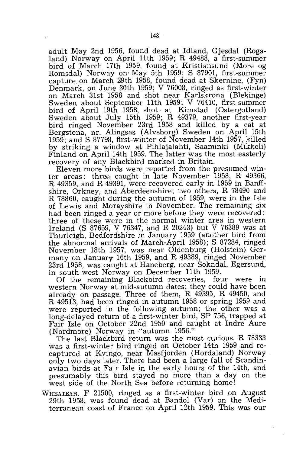adult May 2nd 1956, found dead at Idland, Gjesdal (Rogaland) Norway on April 11th 1959; R 49488, a first-summer bird of ,March 17th 1959, found at Kristiansund (More og Romsdal) Norway on May 5th 1959; S 87901, first-summer capture. on March 29th 1958, found dead at Skernine, (Fyn) Denmark, on June 30th 1959; V 76008, ringed as first-winter on March 31st 1958 and shot near Karlskrona (Blekinge) Sweden about September 11th 1959; V 76410, first-summer bird of April 19th 1958, shot at Kimstad (Ostergotland) Sweden about July 15th 1959; R 49379, another first-year bird ringed November 23rd 1958 and killed by a cat at Bergstena, nr. Alingsas (Alvsborg) Sweden on April 15th 1959; and S 87798, first-winter of November 14th 1957, killed by striking a window at Pihlajalahti, Saaminki (Mikkeli) Finland on April 14th 1959. The latter was the most easterly recovery of any Blackbird marked in Britain.

Eleven more birds were reported from the presumed winter areas: three caught in late November 1958, R 49366, R 49359, and R 49391, were recovered early in 1959 in Banffshire, Orkney, and Aberdeenshire; two others, R 78490 and R 78860, caught during the autumn of 1959, were in the Isle of Lewis and Morayshire in November. The remaining six had been ringed a year or more before they were recovered: three of these were in the normal winter area in western Ireland (S 87659, V 76347, and R 20243) but V 76389 was at Thurleigh, Bedfordshire in January 1959 (another bird from the abnormal arrivals of March-April 1958); S 87284, ringed November 18th 1957, was near Oldenburg (Holstein) Germany on January 16th 1959, and R 49389, ringed November 23rd 1958, was caught at Haneberg, near Sokndal, Egersund, in south-west Norway on December 11th 1959.

Of the remaining Blackbird recoveries, four were in western Norway at mid-autumn dates; they could have been already on passage. Three of them, R 49395, R 49450, and R 49513, had been ringed in autumn 1958 or spring 1959 and were reported in the following autumn; the other was a long-delayed return of a first-winter bird, SF 756, trapped at Fair Isle on October 22nd 1950 and caught at Indre Aure (Nordmore) Norway in "autumn 1956."

The last Blackbird return was the most curious. R 78333 was a first-winter bird ringed on October 14th 1959 and recaptured at Kvingo, near Masfjorden (Hordaland) Norway only two days later. There had been a large fall of Scandinavian birds at Fair Isle in the early hours of the 14th, and presumably this bird stayed no more than a day on the west side of the North Sea before returning home!

WHEATEAR. F 21500, ringed as a first-winter bird on August 29th 1958, was found dead at Bandol (Var) on the Mediterranean coast of France on April 12th 1959. This was our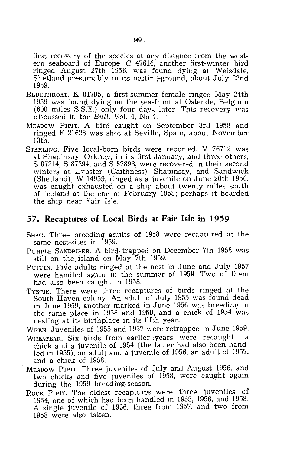first recovery of the species at any distance from the western seaboard of Europe. C 47616, another first-winter bird ringed August 27th 1956, was found dying at Weisdale, Shetland presumably in its nesting-ground, about July 22nd 1959.

- BLUETHROAT. K 81795, a first-summer female ringed May 24th 1959 was found dying on the sea-front at Ostende, Belgium (600 miles S.S.E.) only four days later. This recovery was discussed in the Bull. Vol. 4, No 4.
- MEADOW PIPIT. A bird caught on September 3rd 1958 and ringed F 21628 was shot at Seville, Spain, about November 13th.
- STARLING. Five local-born birds were reported. V 76712 was at Shapinsay, Orkney, in its first January, and three others, S 87214, S 87294, and S 87893, were recovered in their second winters at Lybster (Caithness), Shapinsay, and Sandwick (Shetland); W 14959, ringed as a juvenile on June 20th 1956, was caught exhausted on a ship about twenty miles south of Iceland at the end of February 1958; perhaps it boarded the ship near Fair Isle.

#### **57. Recaptures of Local Birds at Fair Isle in 1959**

- SHAG. Three breeding adults of 1958 were recaptured at the same nest-sites in 1959.
- PURPLE SANDPIPER. A bird, trapped on December 7th 1958 was still on the, island on May 7th 1959.
- PUFFIN. Five adults ringed at the nest in June and July 1957 were handled again in the summer of 1959. Two of them had also been caught in 1958.
- TYSTIE. There were three recaptures of birds ringed at the South Haven colony. An: adult of July 1955 was found dead in June 1959, another marked in,June 1956 was breeding in the same place in 1958 and 1959, and a chick of 1954 was nesting at its birthplace in its fifth year.

WREN. Juveniles of 1955 and 1957 were retrapped in June 1959.

- WHEATEAR. Six birds from earlier ,years were recaught: a chick and a juvenile of 1954 (the latter had also been handled in 1955), an adult and a juvenile of 1956, an adult of 1957, and a chick of 1958.'
- MEADOW PiPIT. Three juveniles of July and August 1956, and two chicks and five juveniles of 1958, were caught again during the 1959 breeding-season.
- ROCK PIPIT. The oldest recaptures were three juveniles of 1954, one of which had been handled in 1955, 1956, and 1958. A single juvenile of 1956, three from 1957, and two from 1958 were also taken.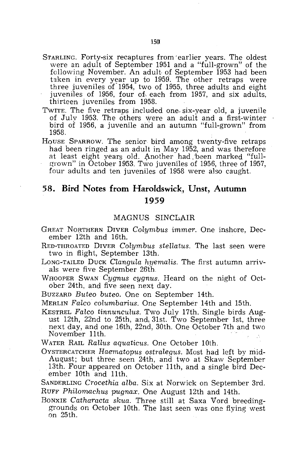- STARLING. Forty-six recaptures from 'earlier years. The oldest were an adult of September 1951 and a "full-grown" of the following November. An adult of September 1953 had been taken in every year up to 1959. The other retraps were three juveniles of  $1954$ , two of  $1955$ , three adults and eight juveniles of 1956, four of each from 1957, and six adults, thirteen juveniles from 1958.
- TWITE. The five retraps included one six-year old, a juvenile of Julv 1953. The others were an adult and a first-winter bird of 1956, a juvenile and an autumn "full-grown" from 1958.
- HOUSE SPARROW. The senior bird among twenty-five retraps had been ringed as an adult in May 1952, and was therefore at least eight years old. Another had been marked "fullgrown" in October 1953. Two juveniles of 1956, three of 1957, four adults and ten juveniles of 1958 were also caught.

## **58. Bird Notes from Haroldswick, Unst, Autumn 1959**

#### MAGNUS SINCL,AIR

- GREAT NORTHERN DIVER *Colyrnbus imrner.* One inshore, December 12th and 16th.
- RED-THROATED DIVER *Colyrnbus stellatus.* The last seen were two in flight, September 13th.
- LONG-TAILED DUCK *Clangula hyemalis*. The first autumn arrivals were five September 26th.
- WfIOOPER SWAN *Cygnus cygnus.* Heard on the night of October 24th, and five seen next day.

BUZZARD *Buteo buteo.* One on September 14th.

MERLIN *Fa:lco colurnbarius.* One September 14th and 15th.

KESTREL *Fateo tinnunculus.* Two July 17th. Single birds August 12th, 22nd to 25th, and 31st. Two September 1st, three next day, and one 16th, 22nd, 30th. One October 7th and two November 11th.

WATER RAIL *Rallus aquaticus.* One October 10th.

OYSTERCATCHER Haematopus ostralegus. Most had left by mid-August; but three seen 24th, and two at Skaw September 13th. Four appeared on October 11th, and a single bird December 10th and 11th.

SANDERLING *Crocethia alba.* Six at Norwick on September 3rd. RUFF *Philomachus pugnax.* One August 12th and 14th.

BONXIE *Catharacta skua.* Three still at Saxa Vord breedinggrounds on October 10th. The last seen was one flying west on 25th. .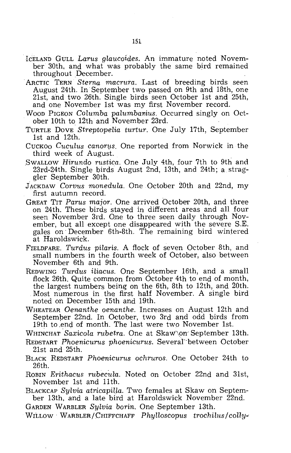- ICELAND GULL *Larus glaucoides.* An immature noted November 30th, and what was probably the same bird remained throughout December.
- ARCTIC TERN *Sterna macrura.* Last of breeding birds seen August 24th. In September two passed on 9th and 18th, one 21st, and two 26th. Single birds seen October 1st and 25th, and one November 1st was my first November record.
- Woop PIGEON *Columba palumbarius*. Occurred singly on October 10th to 12th and November 23rd.
- TURTLE DOVE *Streptopelia turtur.* One July 17th, September 1st and 12th.
- CUCKOO *Cuculus canorus*. One reported from Norwick in the third week of August.
- SWALLOW *Hirundo rustica.* One July 4th, four 7th to 9th and 23rd-24th. Single birds August 2nd, 13th, and 24th; a straggler September 30th.
- JACKDAW *Corvus monedula.* One October 20th and 22nd, my first autumn record.
- GREAT TIT *Parus major.* One arrived October 20th, and three on 24th. These birds stayed in different areas and all four seen November 3rd. One to three seen daily through November, but all except one disappeared with the severe S.E. gales on' December 6th-8th. The remaining bird wintered at Haroldswick.
- FIELDFARE. *Turdus pilaris.* A flock of seven October 8th, and small numbers in the fourth week of October, also between November 6th and 9th.
- REDWING *Turdus iliacus.* One September 16th, and a small flock 26th. Quite common from October 4th to end of month, the largest numbers being on the 6th, 8th to 12th, and 20th. Most numerous in the first half November. A single bird noted on December 15th and 19th.
- WHEATEAR *Oenanthe oenanthe.* Increases on August 12th and Septemper 22nd. In October, two 3rd and odd birds from 19th to .end of month. The last were two November 1st.

WHlNCHAT *Saxicola rubetra.* One at Skaw\on'September 13th.

- REDSTART *Phoenicurus phoenicurus.* Several between October 21st and 25th.
- BLACK R.EDSTART *Phoenicurus ochruros.* One October 24th to 26th.
- R.OBIN *Erithacus rubecufa.* Noted on October 22nd and 31st, November 1st and 11th.
- BLACKCAP *Sylvia atricapilla.* Two females at Skaw on September 13th, and a late bird at Haroldswick November 22nd.

GARDEN WARBLER *Sylvia borin.* One September 13th.

WILLOW WARBLER/CHIFFCHAFF *Phylloscopus trochilus/colly-*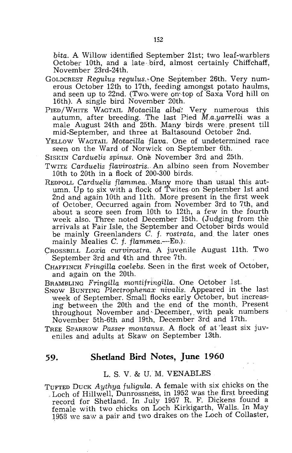*bita.* A Willow identified September 21st; two leaf-warblers October 10th, and a late bird, almost certainly Chiffchaff, November 23rd-24th. 152<br>
bita. A Willow identified September 21st; two leaf-war<br>
October 10th, and a late-bird, almost certainly Chiff<br>
November 23rd-24th.<br>
DLDCREST Regulus regulus. One September 26th. Very<br>
prous October 12th to 17th, feedi

- GOLDCREST *Regulus regulus*. One September 26th. Very numerous October 12th to 17th, feeding amongst potato haulms, and seen up to 22nd. (Two were on top of Saxa Vord hill on 16th). A single bird November 20th.
- PIED/WHITE WAGTAIL *MotaciHa aLba:* Very numerous this autumn, after breeding. The last Pied M.a.yarrelli was a male August 24th and 25th. Many birds were present till mid-September, and three at Baltasound October 2nd.
- YELLOW WAGTAIL *Motacilla flava*. One of undetermined race seen on the Ward of Norwick on September 6th.
- SrsKIN *CardueLis spinus.* One November 3rd and 25th.
- TWITE *Carduelis flavirostris*. An albino seen from November 10th to 20th in a flock of 200-300 birds.
- REDPOLL *CardueLis* fLammea.·.Many more than usual this autumn. Up to six with a flock of Twites on September 1st and 2nd and again 10th and 11th. More present in the first week of October. Occurred again from November 3rd to 7th, and about 'a score seen from 10th to 12th, a few in the fourth week also. Three noted December 15th. (Judging from the arrivals at Fair Isle, the September and October birds would be mainly Greenlanders C. f. *rostrata,* and. the later ones mainly Mealies C. f. *flammea.*—ED.).
- CROSSBILL *Loxia curvirostra.* A juvenile August 11th. Two September 3rd and 4th and three 7th.
- CHAFFINCH *FringiHa coeLebs.* Seen in the first week of October, and again on the 20th.
- BRAMBLING *Fringilla montifringiHa.* One October 1st.
- SNOW BUNTING Plectrophenax nivalis. Appeared in the last week of September. Small flocks early October, but increasing between the 20th and the end of the month. Present throughout November and December, with peak numbers November 5th-6th and 19th, December 3rd and 17th.
- TREE SPARROW *Passer montanus*. A flock of at least six juveniles and adults at Skaw on September 13th.

#### **59. Shetland Bird Notes, June 1960**

#### L. S. V. & U. M. VENABLES

TUFTED DUCK *Aythya fuligula*. A female with six chicks on the Loch of Hillwell, Dunrossness, in 1952 was the first breeding record for Shetland. In July 1957 R. F. Dickens found a female with two chicks on Loch Kirkigarth, Walls. In May 1958 we saw a pair and two drakes on the Loch of Collaster,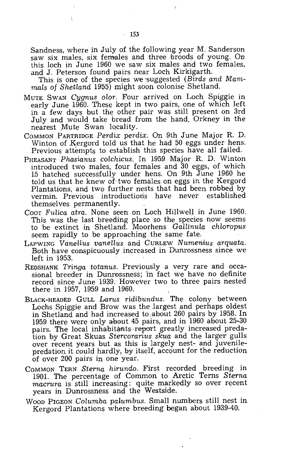Sandness, where in July of the following year M. Sanderson saw six males, six females and three broods of young. On this loch in June 1960 we saw six males and two females, and J. Peterson found pairs near Loch Kirkigarth.

This is one of the species we 'Suggested *(Birds and Mammals of Shetland* 1955) might soon colonise Shetland.

- MUTE SWAN *Cygnus olor.* Four arrived on Loch Spiggie in early June 1960. These kept in two pairs, one of which left in a few days. but the other pair was still present on 3rd July and would take bread from the hand. Orkney in the nearest Mute Swan locality.
- COMMON PARTRIDGE *Perdix perdix.* On 9th June Major R. D. Winton of Kergord told us that he had 50 eggs under hens. Previous attempts to establish this species have all failed.
- PHEASANT Phasianus colchicus. In 1959 Major R. D. Winton introduced two males, four females and 30 eggs, of which 15 hatched successfully under hens. On 9th June 1960 he told us that he knew of-two females on eggs in the Kergord Plantations, and two further nests that had been robbed by vermin. Previous introductions have never established themselves permanently.
- COOT *Fulica atra.* None seen on Loch Hillwell in June 1960. This was the last breeding place so the species now seems to be extinct in Shetland. Moorhens *Gallinula chloropus*  seem rapidly to be approaching the same fate.
- LAPWING *Vanellus vanellus* and CURLEW *Numenius arquata.*  Both have conspicuously increased in Dunrossness since we left in 1953.
- REDS HANK *Tringa totanus.* Previously a very rare and occasional breeder in Dunrossness; in fact we have no definite record since June 1939. However two to three pairs nested there in 1957, 1959 and 1960.
- BLACK-HEADED GULL *Larus ridibundus.* The colony between Lochs Spiggie and Brow was the largest and perhaps oldest in Shetland and had increased to . about 260 pairs by 1958. In 1959 there were only about 45 pairs, and in  $1960$  about 25-30 pairs. The local inhabitants report greatly increased predation by Great Skuas *Stercorarius skua* and the larger gulls over recent years but as this is largely nest- and juvenilepredation it could hardly, by itself, account for the reduction of over 200 pairs in one year.
- COMMON TERN *Sterna hirundo.* First recorded breeding in 1901. The percentage of Common to Arctic Terns *Sterna macrura* is still increasing: quite markedly so over recent years in Dunrossness and the Westside.
- WOOD PIGEON *Columba palumbus.* Small numbers still nest in Kergord Plantations where breeding began about 1939-40.

 $\mathbf{I}$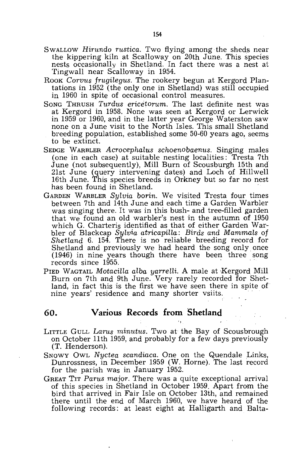- SWALLOW *Hirundo rustica.* Two flying among the sheds near the kippering kiln at Scalloway on 20th June. This species nests occasionally in Shethmd. In fact there was a nest at Tingwall near Scalloway in 1954.
- ROOK *Corvus frugilegus.* The rookery begun at Kergord Plantations in 1952 (the only one in Shetland) was still occupied in 1960 in spite of occasional control measures.
- Song THRUSH *Turdus ericetorum*. The last definite nest was at Kergord in 1958. None was seen at Kergord or Lerwick in 1959 or 1960, and in the latter year George Waterston saw none on a June visit to the North Isles. This small Shetland hone on a June visit to the North Isles. This small Shetland<br>breeding population, established some 50-60 years ago, seems<br>to be extinct.
- SEDGE WARBLER *Acrocephalus schoenobaenus.* Singing males (one in each case) at suitable nesting localities: Tresta 7th June (not subsequently), Mill Burn of Scousburgh 15th and 21st June (query intervening dates) and Loch of Hillwell 16th June. This species breeds in Orkney but so far no nest has been found in Shetland.
- GARDEN WARBLER *Sylvia borin.* We visited Tresta four times between 7th and 14th June and each time a Garden Warbler was singing there. It was in this bush- and tree-filled garden that we found an old warbler's nest in the autumn of 1950 which G. Charteris identified as that of either Garden WarbIer of Blackcap *Sylvia atricapiHa: Birds and Mammals* of *Shetland* 6. 154. There is no reliable breeding record for Shetland and previously we had heard the song only once (1946) in nine years though there have been three song records since 1955.
- PIED WAGTAIL *MotaciHa alba yarrelli.* A male at Kergord Mill Burn on 7th and 9th June. Very rarely recorded for Shetland, in fact this is the first we have seen there in spite of nine years' residence and many shorter vsiits. .

#### **60. Various Records from Shetland**

- LITTLE GULL *Larus minutus*. Two at the Bay of Scousbrough on October 11th 1959, and probably for a few days previously (T. Henderson).
- SNOWY OWL *Nyctea scandiaca.* One on the Quendale Links, Dunrossness, in December 1959 (W. Horne). The last record for the parish was in January 1952.
- GREAT TIT *Parus major.* There was a quite exceptional arrival of this species in Shetland in October 1959. Apart from the bird that arrived in Fair Isle on October 13th, and remained there until the end of March 1960, we have heard of the following records: at least eight at Halligarth and Balta-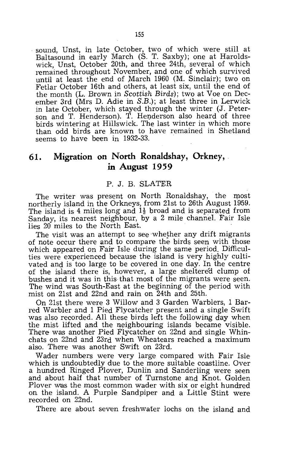sound, Unst, in late October, two of which were still at Baltasound in early March (S. T. Saxby); one at Haroldswick, Unst, October 20th, and three 24th, several of which remained throughout November, and one of which survived until at least the end of March 1960 (M. Sinclair); two on Fetlar October 16th and others, at least six, until the end of the month (L. Brown in *Scottish Birds);* two at Voe on December 3rd (Mrs D. Adie in S.B.); at least three in Lerwick in late October, which stayed through the winter (J. Peterson and T. Henderson). T. Henderson also heard of three birds wintering at Hillswick. The last winter in which more than odd birds are known to have remained in Shetland seems to have been in 1932-33.

# **61. Migration on North Ronaldshay, Orkney, in August 1959**

#### P. J. B. SLATER

The writer was present on North Ronaldshay, the most northerly island in the Orkneys, from 21st to 26th August 1959. The island is 4 miles long and  $1\frac{1}{2}$  broad and is separated from Sanday, its nearest neighbour, by a 2 mile channel. Fair Isle lies 20 miles to the North East.

The visit was an attempt to see whether any drift migrants of note occur there and to compare the birds seen with those which appeared on Fair Isle during the same period. Difficulties were experienced because the island is very highly cultivated and is too large to be covered in one day. In the centre of the island there is, however, a large sheltered clump of bushes and it was in this that most of the migrants were seen. The wind was South-East at the beginning of the period with mist on 21st and 22nd and rain on 24th and 25th.

On 21st there were 3 Willow and 3 Garden Warblers, 1 Barred Warbler and 1 Pied Flycatcher present and a single Swift was also recorded. All these birds left the following day when the mist lifted and the neighbouring islands became visible. There was another Pied Flycatcher on 22nd and single Whinchats on 22nd and 23rd when Wheatears reached a maximum also. There was another Swift on 23rd.

Wader numbers were very large compared with Fair Isle which is undoubtedly due to the more suitable coastline. Over a hundred Ringed Plover, Dunlin and Sanderling were seen and about half that number of Turnstone and Knot. Golden Plover was the most common wader with six or eight hundred on the island. A Purple Sandpiper and a Little Stint were recorded on 22nd.

There are about seven freshwater lochs on the island and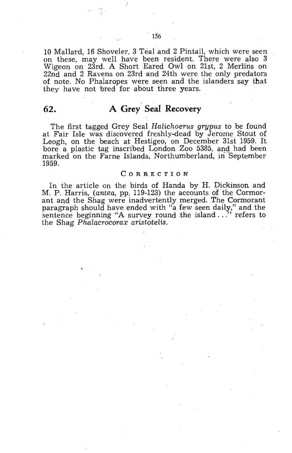10 Mallard, 16 Shoveler, 3 Teal and 2 Pintail, which were seen on these, may well have been resident. There were also 3 Wigeon on 23rd. A Short Eared Owl on 21st, 2 Merlins on 22nd and 2 Ravens on 23rd and 24th were the only predators of note. No Phalaropes were seen and the islanders say that they have not bred for about three years.

# **62. A Grey Seal Recovery**

The first tagged Grey Seal *Halichoerus grypus* to be found at Fair Isle was discovered freshly-dead by Jerome Stout of Leogh, on the beach at Hestigeo, on December 31st 1959. It bore a plastic tag inscribed London Zoo 5385, and had been marked on the Farne Islands, Northumberland, in September 1959.

#### CORRECTION

In the article on the birds of Handa by H. Dickinson and M. P. Harris, *(antea,* pp. 119-123) the accounts *of* the Cormorant and the Shag were inadvertently merged. The Cormorant paragraph should have ended with "a few seen daily," and the sentence beginning "A survey round the island ..." refers to the Shag *Phalacrocorax aristotelis.*